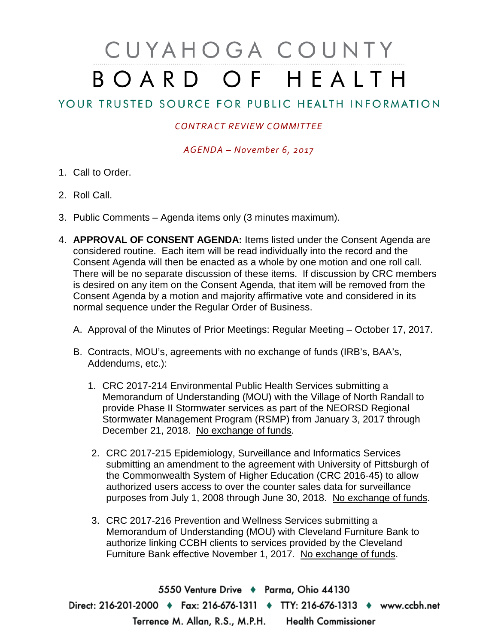## CUYAHOGA COUNTY BOARD OF HEALTH

## YOUR TRUSTED SOURCE FOR PUBLIC HEALTH INFORMATION

## *CONTRACT REVIEW COMMITTEE*

*AGENDA – November 6, 2017*

- 1. Call to Order.
- 2. Roll Call.
- 3. Public Comments Agenda items only (3 minutes maximum).
- 4. **APPROVAL OF CONSENT AGENDA:** Items listed under the Consent Agenda are considered routine. Each item will be read individually into the record and the Consent Agenda will then be enacted as a whole by one motion and one roll call. There will be no separate discussion of these items. If discussion by CRC members is desired on any item on the Consent Agenda, that item will be removed from the Consent Agenda by a motion and majority affirmative vote and considered in its normal sequence under the Regular Order of Business.
	- A. Approval of the Minutes of Prior Meetings: Regular Meeting October 17, 2017.
	- B. Contracts, MOU's, agreements with no exchange of funds (IRB's, BAA's, Addendums, etc.):
		- 1. CRC 2017-214 Environmental Public Health Services submitting a Memorandum of Understanding (MOU) with the Village of North Randall to provide Phase II Stormwater services as part of the NEORSD Regional Stormwater Management Program (RSMP) from January 3, 2017 through December 21, 2018. No exchange of funds.
		- 2. CRC 2017-215 Epidemiology, Surveillance and Informatics Services submitting an amendment to the agreement with University of Pittsburgh of the Commonwealth System of Higher Education (CRC 2016-45) to allow authorized users access to over the counter sales data for surveillance purposes from July 1, 2008 through June 30, 2018. No exchange of funds.
		- 3. CRC 2017-216 Prevention and Wellness Services submitting a Memorandum of Understanding (MOU) with Cleveland Furniture Bank to authorize linking CCBH clients to services provided by the Cleveland Furniture Bank effective November 1, 2017. No exchange of funds.

5550 Venture Drive + Parma, Ohio 44130 Direct: 216-201-2000 • Fax: 216-676-1311 • TTY: 216-676-1313 • www.ccbh.net Terrence M. Allan, R.S., M.P.H. Health Commissioner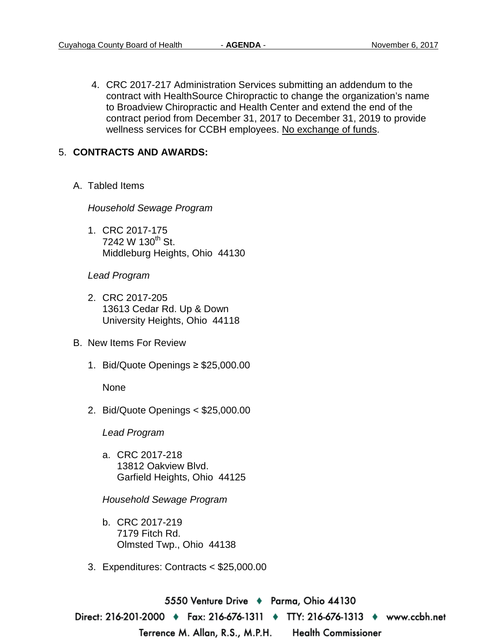4. CRC 2017-217 Administration Services submitting an addendum to the contract with HealthSource Chiropractic to change the organization's name to Broadview Chiropractic and Health Center and extend the end of the contract period from December 31, 2017 to December 31, 2019 to provide wellness services for CCBH employees. No exchange of funds.

## 5. **CONTRACTS AND AWARDS:**

A. Tabled Items

*Household Sewage Program*

1. CRC 2017-175  $7242 \text{ W } 130^{\text{th}}$  St. Middleburg Heights, Ohio 44130

*Lead Program* 

- 2. CRC 2017-205 13613 Cedar Rd. Up & Down University Heights, Ohio 44118
- B. New Items For Review
	- 1. Bid/Quote Openings ≥ \$25,000.00

None

2. Bid/Quote Openings < \$25,000.00

*Lead Program* 

a. CRC 2017-218 13812 Oakview Blvd. Garfield Heights, Ohio 44125

*Household Sewage Program* 

- b. CRC 2017-219 7179 Fitch Rd. Olmsted Twp., Ohio 44138
- 3. Expenditures: Contracts < \$25,000.00

5550 Venture Drive ♦ Parma, Ohio 44130 Direct: 216-201-2000 • Fax: 216-676-1311 • TTY: 216-676-1313 • www.ccbh.net Terrence M. Allan, R.S., M.P.H. **Health Commissioner**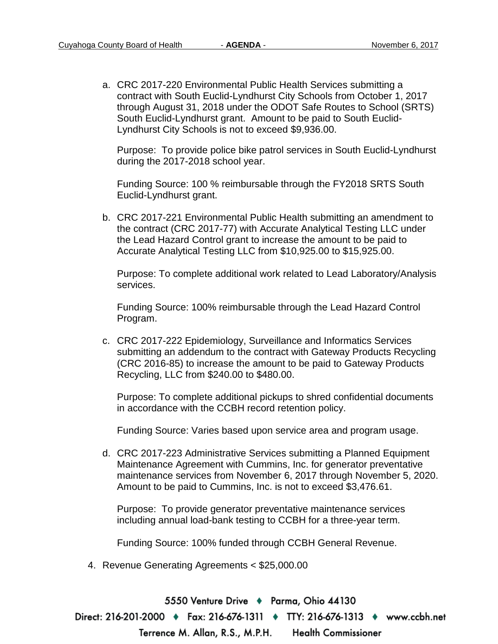a. CRC 2017-220 Environmental Public Health Services submitting a contract with South Euclid-Lyndhurst City Schools from October 1, 2017 through August 31, 2018 under the ODOT Safe Routes to School (SRTS) South Euclid-Lyndhurst grant. Amount to be paid to South Euclid-Lyndhurst City Schools is not to exceed \$9,936.00.

Purpose: To provide police bike patrol services in South Euclid-Lyndhurst during the 2017-2018 school year.

Funding Source: 100 % reimbursable through the FY2018 SRTS South Euclid-Lyndhurst grant.

b. CRC 2017-221 Environmental Public Health submitting an amendment to the contract (CRC 2017-77) with Accurate Analytical Testing LLC under the Lead Hazard Control grant to increase the amount to be paid to Accurate Analytical Testing LLC from \$10,925.00 to \$15,925.00.

Purpose: To complete additional work related to Lead Laboratory/Analysis services.

Funding Source: 100% reimbursable through the Lead Hazard Control Program.

c. CRC 2017-222 Epidemiology, Surveillance and Informatics Services submitting an addendum to the contract with Gateway Products Recycling (CRC 2016-85) to increase the amount to be paid to Gateway Products Recycling, LLC from \$240.00 to \$480.00.

Purpose: To complete additional pickups to shred confidential documents in accordance with the CCBH record retention policy.

Funding Source: Varies based upon service area and program usage.

d. CRC 2017-223 Administrative Services submitting a Planned Equipment Maintenance Agreement with Cummins, Inc. for generator preventative maintenance services from November 6, 2017 through November 5, 2020. Amount to be paid to Cummins, Inc. is not to exceed \$3,476.61.

Purpose: To provide generator preventative maintenance services including annual load-bank testing to CCBH for a three-year term.

Funding Source: 100% funded through CCBH General Revenue.

4. Revenue Generating Agreements < \$25,000.00

5550 Venture Drive → Parma, Ohio 44130 Direct: 216-201-2000 ♦ Fax: 216-676-1311 ♦ TTY: 216-676-1313 ♦ www.ccbh.net **Health Commissioner** Terrence M. Allan, R.S., M.P.H.